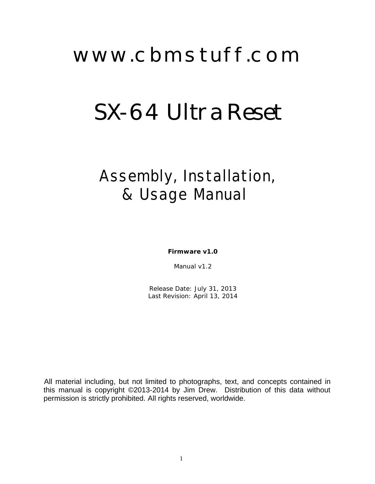## www.cbmstuff.com

# SX-64 Ultra Reset

### Assembly, Installation, & Usage Manual

**Firmware v1.0**

Manual v1.2

Release Date: July 31, 2013 Last Revision: April 13, 2014

All material including, but not limited to photographs, text, and concepts contained in this manual is copyright ©2013-2014 by Jim Drew. Distribution of this data without permission is strictly prohibited. All rights reserved, worldwide.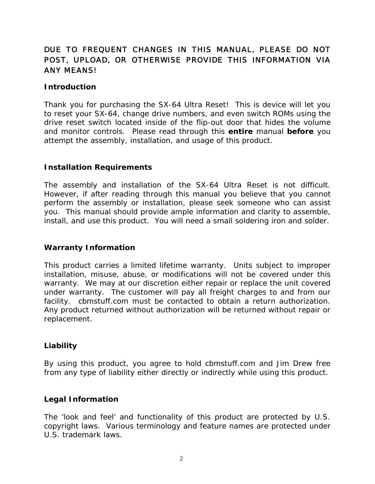#### *DUE TO FREQUENT CHANGES IN THIS MANUAL, PLEASE DO NOT POST, UPLOAD, OR OTHERWISE PROVIDE THIS INFORMATION VIA ANY MEANS!*

#### **Introduction**

Thank you for purchasing the SX-64 Ultra Reset! This is device will let you to reset your SX-64, change drive numbers, and even switch ROMs using the drive reset switch located inside of the flip-out door that hides the volume and monitor controls. Please read through this **entire** manual **before** you attempt the assembly, installation, and usage of this product.

#### **Installation Requirements**

The assembly and installation of the SX-64 Ultra Reset is not difficult. However, if after reading through this manual you believe that you cannot perform the assembly or installation, please seek someone who can assist you. This manual should provide ample information and clarity to assemble, install, and use this product. You will need a small soldering iron and solder.

#### **Warranty Information**

This product carries a limited lifetime warranty. Units subject to improper installation, misuse, abuse, or modifications will not be covered under this warranty. We may at our discretion either repair or replace the unit covered under warranty. The customer will pay all freight charges to and from our facility. cbmstuff.com must be contacted to obtain a return authorization. Any product returned without authorization will be returned without repair or replacement.

#### **Liability**

By using this product, you agree to hold cbmstuff.com and Jim Drew free from any type of liability either directly or indirectly while using this product.

#### **Legal Information**

The 'look and feel' and functionality of this product are protected by U.S. copyright laws. Various terminology and feature names are protected under U.S. trademark laws.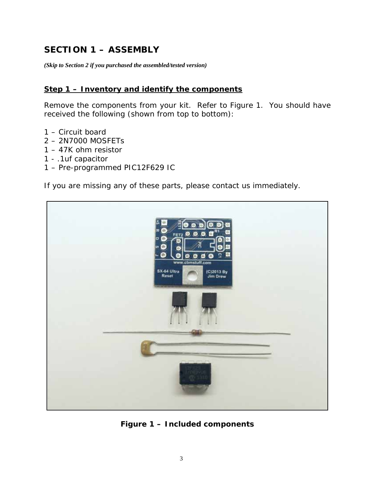#### **SECTION 1 – ASSEMBLY**

*(Skip to Section 2 if you purchased the assembled/tested version)*

#### **Step 1 – Inventory and identify the components**

Remove the components from your kit. Refer to Figure 1. You should have received the following (shown from top to bottom):

- 1 Circuit board
- 2 2N7000 MOSFETs
- 1 47K ohm resistor
- 1 .1uf capacitor
- 1 Pre-programmed PIC12F629 IC

If you are missing any of these parts, please contact us immediately.



**Figure 1 – Included components**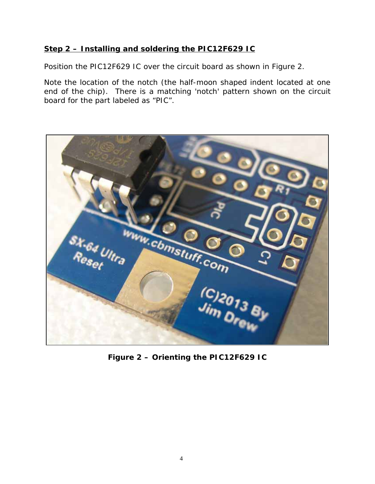#### **Step 2 – Installing and soldering the PIC12F629 IC**

Position the PIC12F629 IC over the circuit board as shown in Figure 2.

Note the location of the notch (the half-moon shaped indent located at one end of the chip). There is a matching 'notch' pattern shown on the circuit board for the part labeled as "PIC".



**Figure 2 – Orienting the PIC12F629 IC**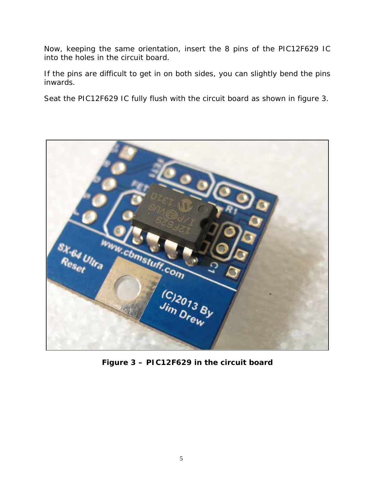Now, keeping the same orientation, insert the 8 pins of the PIC12F629 IC into the holes in the circuit board.

If the pins are difficult to get in on both sides, you can slightly bend the pins inwards.

Seat the PIC12F629 IC fully flush with the circuit board as shown in figure 3.



**Figure 3 – PIC12F629 in the circuit board**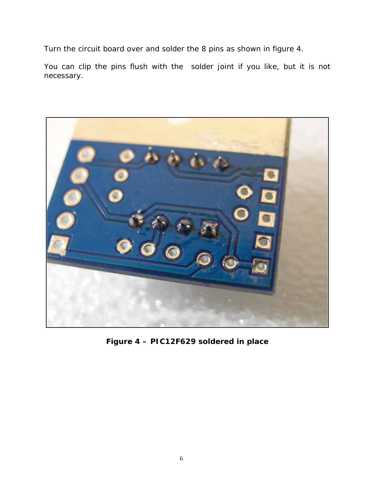Turn the circuit board over and solder the 8 pins as shown in figure 4.

You can clip the pins flush with the solder joint if you like, but it is not necessary.



**Figure 4 – PIC12F629 soldered in place**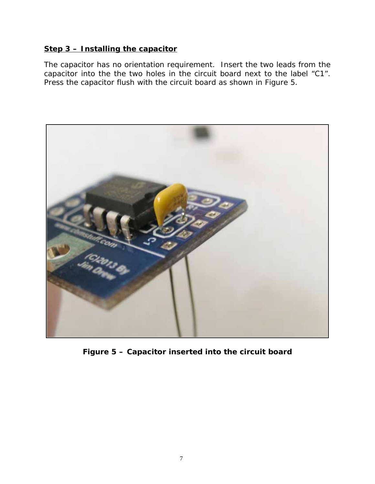#### **Step 3 – Installing the capacitor**

The capacitor has no orientation requirement. Insert the two leads from the capacitor into the the two holes in the circuit board next to the label "C1". Press the capacitor flush with the circuit board as shown in Figure 5.



**Figure 5 – Capacitor inserted into the circuit board**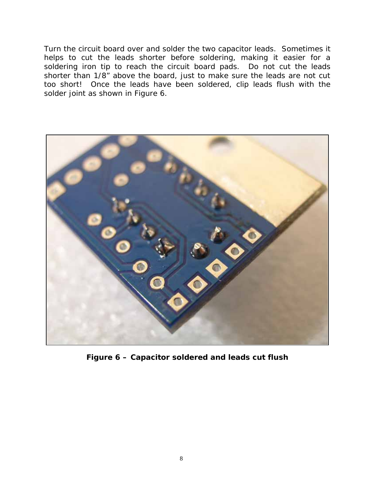Turn the circuit board over and solder the two capacitor leads. Sometimes it helps to cut the leads shorter before soldering, making it easier for a soldering iron tip to reach the circuit board pads. Do not cut the leads shorter than 1/8" above the board, just to make sure the leads are not cut too short! Once the leads have been soldered, clip leads flush with the solder joint as shown in Figure 6.



**Figure 6 – Capacitor soldered and leads cut flush**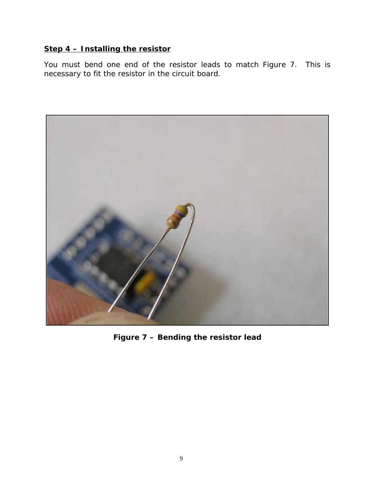#### **Step 4 – Installing the resistor**

You must bend one end of the resistor leads to match Figure 7. This is necessary to fit the resistor in the circuit board.



**Figure 7 – Bending the resistor lead**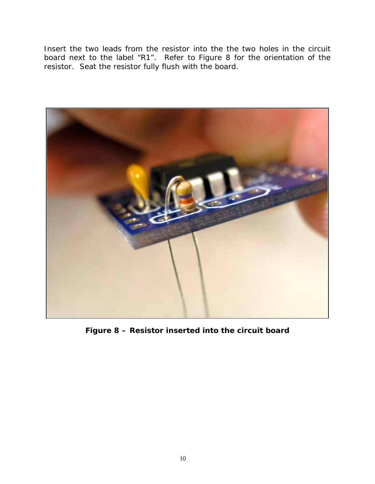Insert the two leads from the resistor into the the two holes in the circuit board next to the label "R1". Refer to Figure 8 for the orientation of the resistor. Seat the resistor fully flush with the board.



**Figure 8 – Resistor inserted into the circuit board**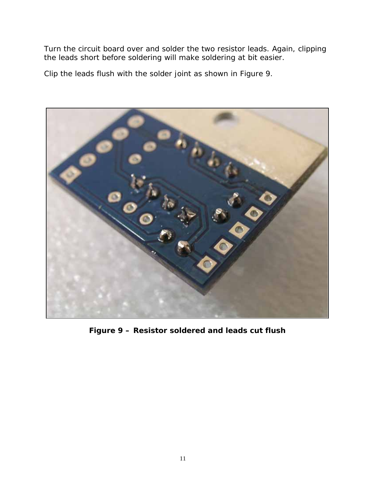Turn the circuit board over and solder the two resistor leads. Again, clipping the leads short before soldering will make soldering at bit easier.

Clip the leads flush with the solder joint as shown in Figure 9.



**Figure 9 – Resistor soldered and leads cut flush**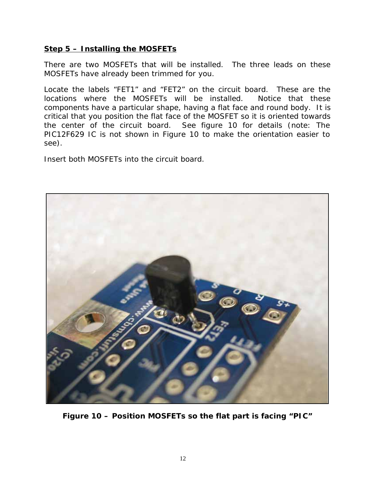#### **Step 5 – Installing the MOSFETs**

There are two MOSFETs that will be installed. The three leads on these MOSFETs have already been trimmed for you.

Locate the labels "FET1" and "FET2" on the circuit board. These are the locations where the MOSFETs will be installed. Notice that these components have a particular shape, having a flat face and round body. It is critical that you position the flat face of the MOSFET so it is oriented towards the center of the circuit board. See figure 10 for details (*note: The PIC12F629 IC is not shown in Figure 10 to make the orientation easier to see*).

Insert both MOSFETs into the circuit board.



**Figure 10 – Position MOSFETs so the flat part is facing "PIC"**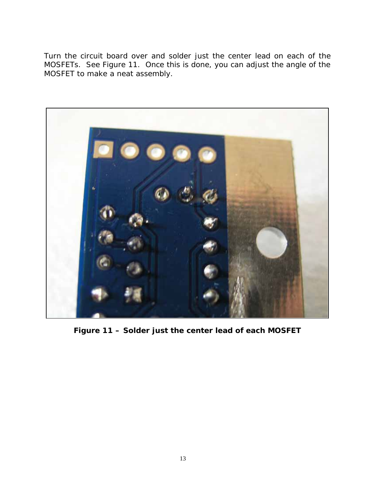Turn the circuit board over and solder just the center lead on each of the MOSFETs. See Figure 11. Once this is done, you can adjust the angle of the MOSFET to make a neat assembly.



**Figure 11 – Solder just the center lead of each MOSFET**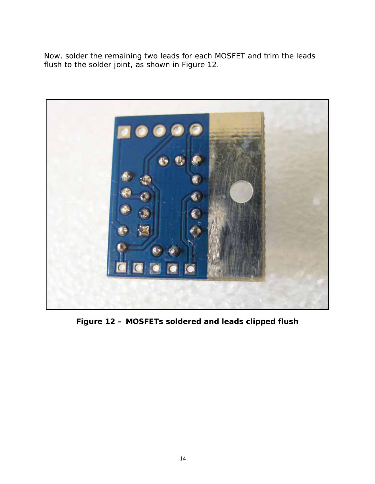Now, solder the remaining two leads for each MOSFET and trim the leads flush to the solder joint, as shown in Figure 12.



**Figure 12 – MOSFETs soldered and leads clipped flush**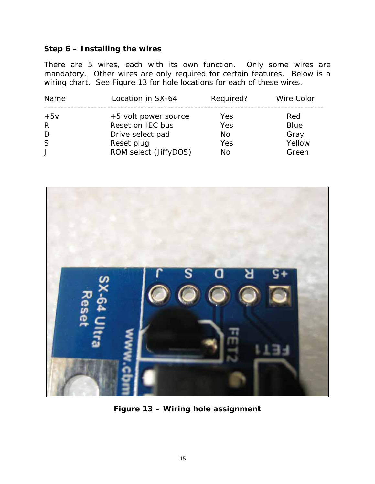#### **Step 6 – Installing the wires**

There are 5 wires, each with its own function. Only some wires are mandatory. Other wires are only required for certain features. Below is a wiring chart. See Figure 13 for hole locations for each of these wires.

| Name                 | Location in SX-64                                                          | Required?               | Wire Color                           |
|----------------------|----------------------------------------------------------------------------|-------------------------|--------------------------------------|
| $+5v$<br>R<br>D<br>S | +5 volt power source<br>Reset on IEC bus<br>Drive select pad<br>Reset plug | Yes<br>Yes<br>No<br>Yes | Red<br><b>Blue</b><br>Gray<br>Yellow |
|                      | ROM select (JiffyDOS)                                                      | No                      | Green                                |



**Figure 13 – Wiring hole assignment**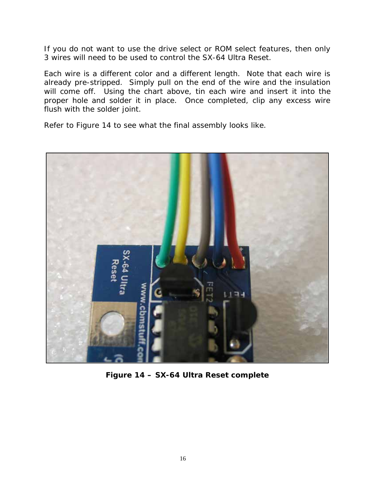If you do not want to use the drive select or ROM select features, then only 3 wires will need to be used to control the SX-64 Ultra Reset.

Each wire is a different color and a different length. Note that each wire is already pre-stripped. Simply pull on the end of the wire and the insulation will come off. Using the chart above, tin each wire and insert it into the proper hole and solder it in place. Once completed, clip any excess wire flush with the solder joint.

Refer to Figure 14 to see what the final assembly looks like.



**Figure 14 – SX-64 Ultra Reset complete**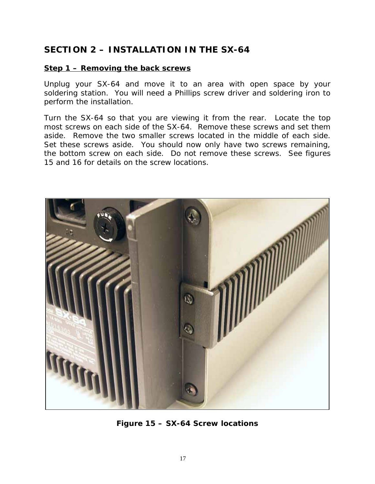#### **SECTION 2 – INSTALLATION IN THE SX-64**

#### **Step 1 – Removing the back screws**

Unplug your SX-64 and move it to an area with open space by your soldering station. You will need a Phillips screw driver and soldering iron to perform the installation.

Turn the SX-64 so that you are viewing it from the rear. Locate the top most screws on each side of the SX-64. Remove these screws and set them aside. Remove the two smaller screws located in the middle of each side. Set these screws aside. You should now only have two screws remaining, the bottom screw on each side. Do not remove these screws. See figures 15 and 16 for details on the screw locations.



**Figure 15 – SX-64 Screw locations**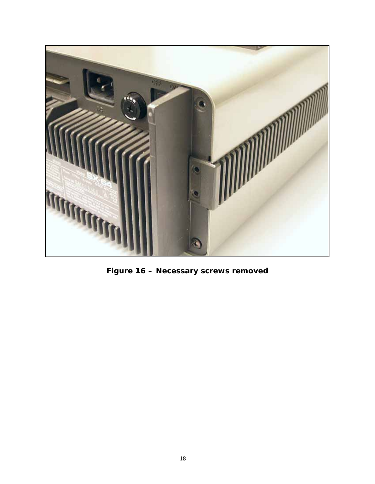

**Figure 16 – Necessary screws removed**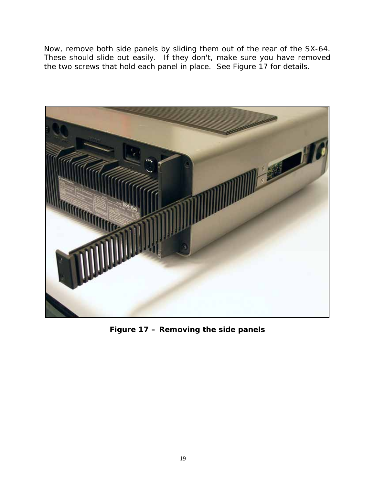Now, remove both side panels by sliding them out of the rear of the SX-64. These should slide out easily. If they don't, make sure you have removed the two screws that hold each panel in place. See Figure 17 for details.



**Figure 17 – Removing the side panels**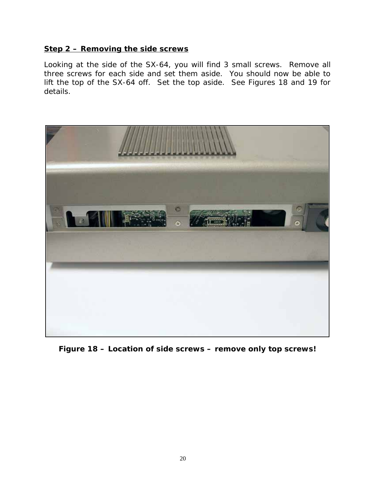#### **Step 2 – Removing the side screws**

Looking at the side of the SX-64, you will find 3 small screws. Remove all three screws for each side and set them aside. You should now be able to lift the top of the SX-64 off. Set the top aside. See Figures 18 and 19 for details.



**Figure 18 – Location of side screws – remove only top screws!**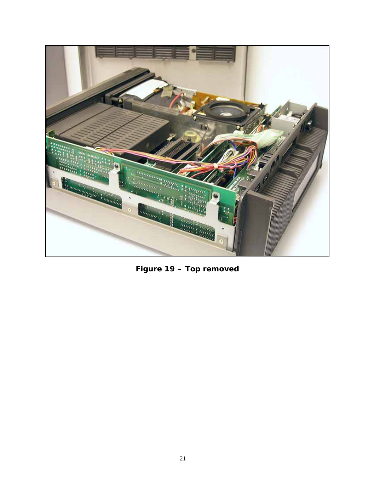

**Figure 19 – Top removed**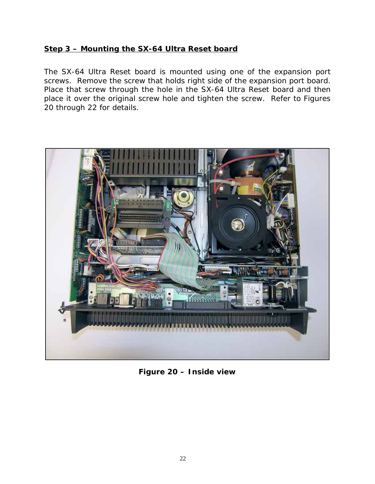#### **Step 3 – Mounting the SX-64 Ultra Reset board**

The SX-64 Ultra Reset board is mounted using one of the expansion port screws. Remove the screw that holds right side of the expansion port board. Place that screw through the hole in the SX-64 Ultra Reset board and then place it over the original screw hole and tighten the screw. Refer to Figures 20 through 22 for details.



**Figure 20 – Inside view**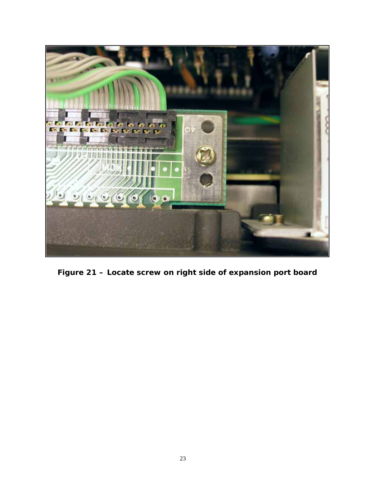

**Figure 21 – Locate screw on right side of expansion port board**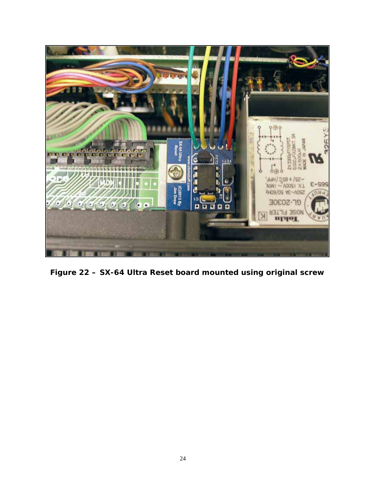

**Figure 22 – SX-64 Ultra Reset board mounted using original screw**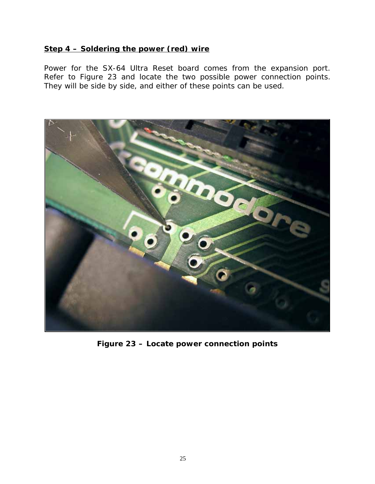#### **Step 4 – Soldering the power (red) wire**

Power for the SX-64 Ultra Reset board comes from the expansion port. Refer to Figure 23 and locate the two possible power connection points. They will be side by side, and either of these points can be used.



**Figure 23 – Locate power connection points**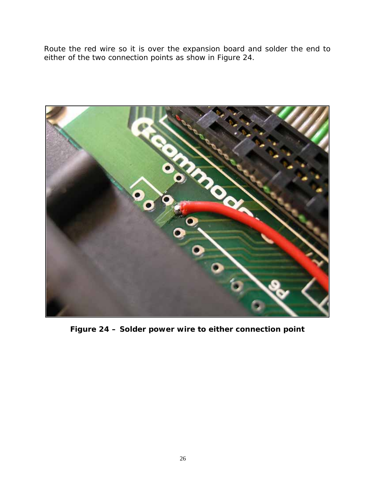Route the red wire so it is over the expansion board and solder the end to either of the two connection points as show in Figure 24.



**Figure 24 – Solder power wire to either connection point**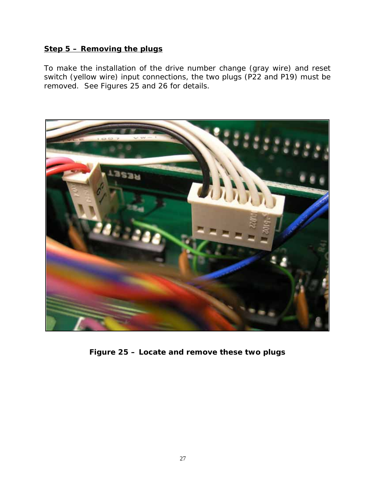#### **Step 5 – Removing the plugs**

To make the installation of the drive number change (gray wire) and reset switch (yellow wire) input connections, the two plugs (P22 and P19) must be removed. See Figures 25 and 26 for details.



**Figure 25 – Locate and remove these two plugs**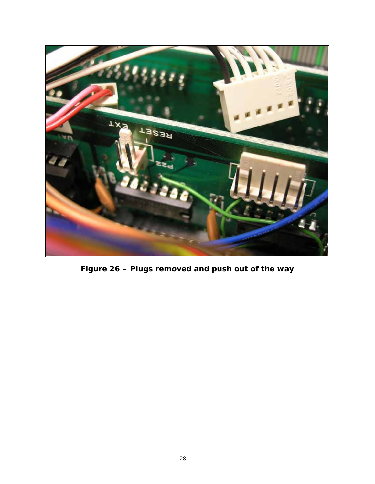

**Figure 26 – Plugs removed and push out of the way**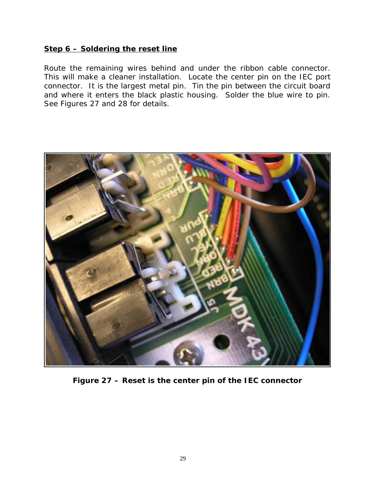#### **Step 6 – Soldering the reset line**

Route the remaining wires behind and under the ribbon cable connector. This will make a cleaner installation. Locate the center pin on the IEC port connector. It is the largest metal pin. Tin the pin between the circuit board and where it enters the black plastic housing. Solder the blue wire to pin. See Figures 27 and 28 for details.



**Figure 27 – Reset is the center pin of the IEC connector**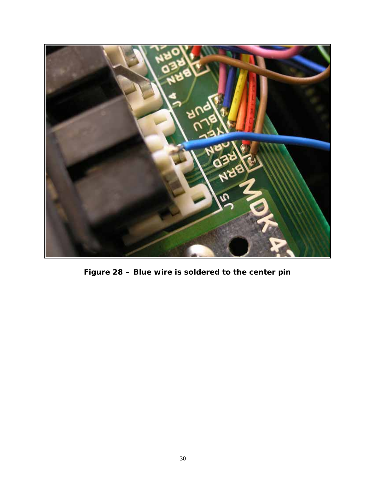

**Figure 28 – Blue wire is soldered to the center pin**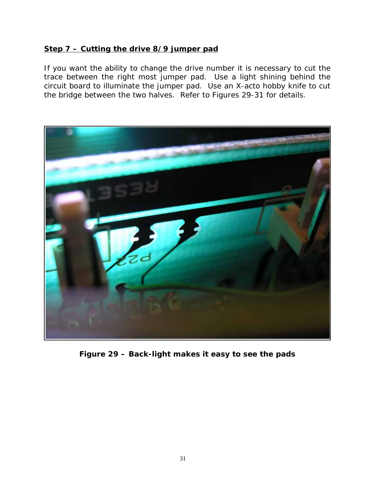#### **Step 7 – Cutting the drive 8/9 jumper pad**

If you want the ability to change the drive number it is necessary to cut the trace between the right most jumper pad. Use a light shining behind the circuit board to illuminate the jumper pad. Use an X-acto hobby knife to cut the bridge between the two halves. Refer to Figures 29-31 for details.



**Figure 29 – Back-light makes it easy to see the pads**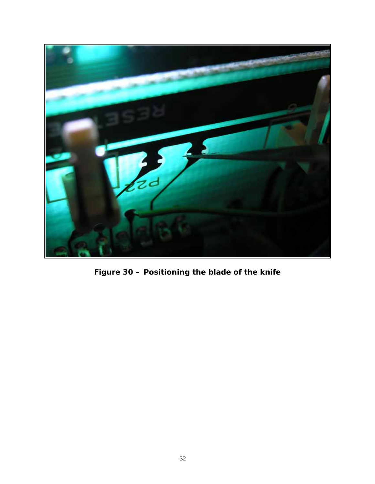

**Figure 30 – Positioning the blade of the knife**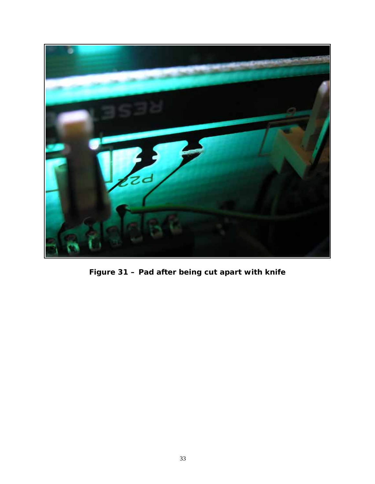

**Figure 31 – Pad after being cut apart with knife**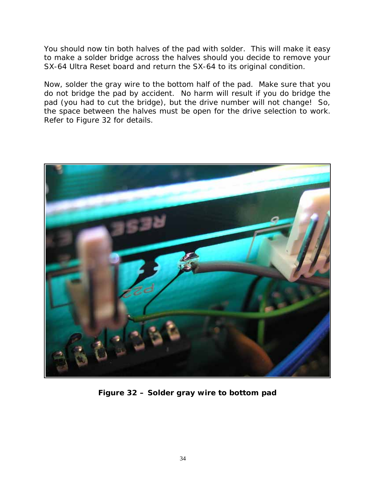You should now tin both halves of the pad with solder. This will make it easy to make a solder bridge across the halves should you decide to remove your SX-64 Ultra Reset board and return the SX-64 to its original condition.

Now, solder the gray wire to the bottom half of the pad. Make sure that you do not bridge the pad by accident. No harm will result if you do bridge the pad (you had to cut the bridge), but the drive number will not change! So, the space between the halves must be open for the drive selection to work. Refer to Figure 32 for details.



**Figure 32 – Solder gray wire to bottom pad**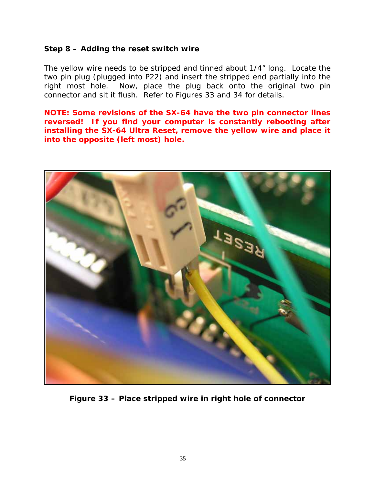#### **Step 8 – Adding the reset switch wire**

The yellow wire needs to be stripped and tinned about 1/4" long. Locate the two pin plug (plugged into P22) and insert the stripped end partially into the right most hole. Now, place the plug back onto the original two pin connector and sit it flush. Refer to Figures 33 and 34 for details.

**NOTE: Some revisions of the SX-64 have the two pin connector lines reversed! If you find your computer is constantly rebooting after installing the SX-64 Ultra Reset, remove the yellow wire and place it into the opposite (left most) hole.**



**Figure 33 – Place stripped wire in right hole of connector**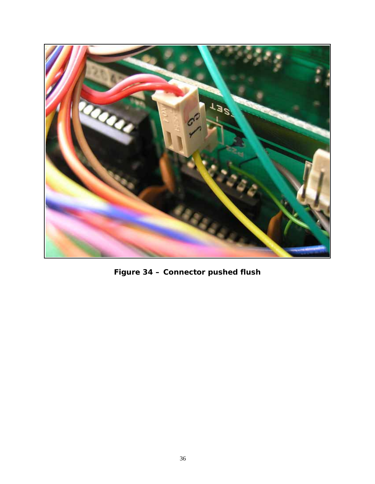

**Figure 34 – Connector pushed flush**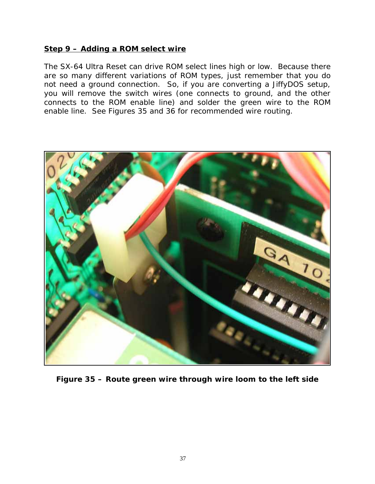#### **Step 9 – Adding a ROM select wire**

The SX-64 Ultra Reset can drive ROM select lines high or low. Because there are so many different variations of ROM types, just remember that you do not need a ground connection. So, if you are converting a JiffyDOS setup, you will remove the switch wires (one connects to ground, and the other connects to the ROM enable line) and solder the green wire to the ROM enable line. See Figures 35 and 36 for recommended wire routing.



**Figure 35 – Route green wire through wire loom to the left side**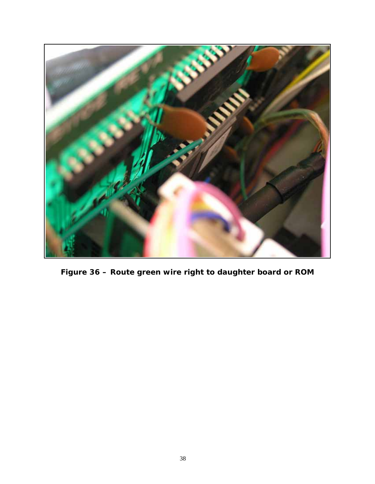

**Figure 36 – Route green wire right to daughter board or ROM**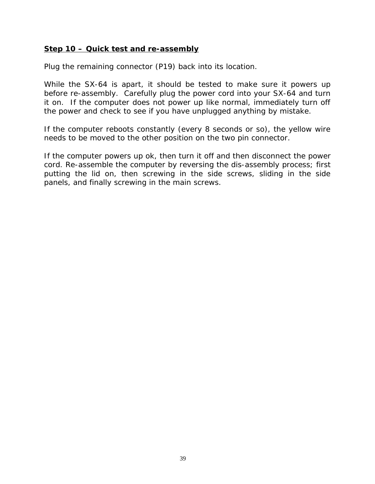#### **Step 10 – Quick test and re-assembly**

Plug the remaining connector (P19) back into its location.

While the SX-64 is apart, it should be tested to make sure it powers up before re-assembly. Carefully plug the power cord into your SX-64 and turn it on. If the computer does not power up like normal, immediately turn off the power and check to see if you have unplugged anything by mistake.

If the computer reboots constantly (every 8 seconds or so), the yellow wire needs to be moved to the other position on the two pin connector.

If the computer powers up ok, then turn it off and then disconnect the power cord. Re-assemble the computer by reversing the dis-assembly process; first putting the lid on, then screwing in the side screws, sliding in the side panels, and finally screwing in the main screws.